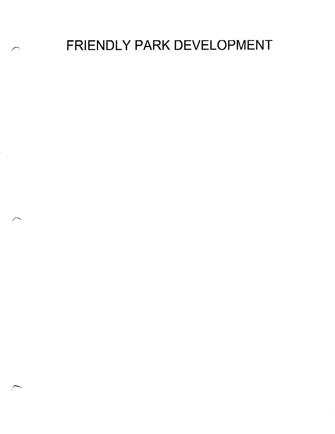FRIENDLY PARK DEVELOPMENT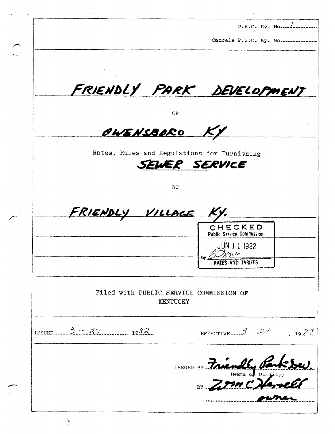|                        | Cancels P.S.C. Ky. No                                        |
|------------------------|--------------------------------------------------------------|
|                        |                                                              |
|                        |                                                              |
|                        | FRIENDLY PARK DEVELOPMENT                                    |
|                        |                                                              |
|                        | ОF                                                           |
| OWENSBORO              |                                                              |
|                        |                                                              |
|                        | Rates, Rules and Regulations for Furnishing<br>SEWER SERVICE |
|                        |                                                              |
|                        | AT                                                           |
|                        |                                                              |
|                        |                                                              |
| FRIENDLY VILLAGE KY.   |                                                              |
|                        | CHECKED                                                      |
|                        | Public Service Commission<br>JUN 1 1 1982                    |
|                        |                                                              |
|                        | RATES AND TARIFFS                                            |
|                        |                                                              |
|                        | Filed with PUBLIC SERVICE COMMISSION OF<br><b>KENTUCKY</b>   |
|                        |                                                              |
|                        |                                                              |
| ISSUED $5.5.5.2.$ 2.2. | EFFECTIVE $3 - 2/$ 1979                                      |
|                        |                                                              |
|                        |                                                              |
|                        | ISSUED BY Friendly Parksey<br>BY                             |

 $\sim$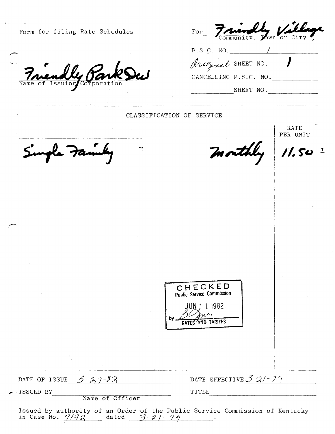| Form for filing Rate Schedules | FOr Friendly Ville<br>Community, Town or City   |                      |
|--------------------------------|-------------------------------------------------|----------------------|
|                                | P.S.C. NO.                                      |                      |
|                                | Arizzal SHEET NO.                               |                      |
| <u>Friendly Parks</u>          | CANCELLING P.S.C. NO.                           |                      |
|                                | SHEET NO.                                       |                      |
|                                | CLASSIFICATION OF SERVICE                       |                      |
|                                |                                                 | RATE<br>PER UNIT     |
| Single Family                  | month                                           | $11.50$ <sup>1</sup> |
|                                |                                                 |                      |
|                                |                                                 |                      |
|                                |                                                 |                      |
|                                |                                                 |                      |
|                                |                                                 |                      |
|                                |                                                 |                      |
|                                |                                                 |                      |
|                                | CHECKED                                         |                      |
|                                | <b>Public Service Commission</b><br>JUN 11 1982 |                      |
|                                | وجربم<br>b٧<br>RATES AND TARIFFS                |                      |
|                                |                                                 |                      |
|                                |                                                 |                      |
|                                |                                                 |                      |
| DATE OF ISSUE $5 - 37 - 82$    | DATE EFFECTIVE $3-3/-7$                         |                      |
| ISSUED BY<br>Name of Officer   | TITLE                                           |                      |

 $\mathcal{L}$